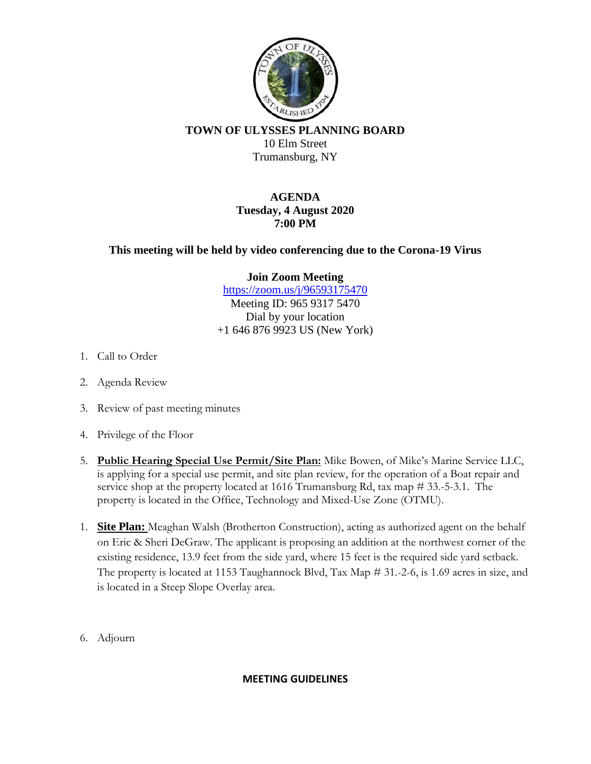

**TOWN OF ULYSSES PLANNING BOARD** 10 Elm Street Trumansburg, NY

> **AGENDA Tuesday, 4 August 2020 7:00 PM**

**This meeting will be held by video conferencing due to the Corona-19 Virus**

**Join Zoom Meeting**

https://zoom.us/j/96593175470 Meeting ID: 965 9317 5470 Dial by your location +1 646 876 9923 US (New York)

- 1. Call to Order
- 2. Agenda Review
- 3. Review of past meeting minutes
- 4. Privilege of the Floor
- 5. **Public Hearing Special Use Permit/Site Plan:** Mike Bowen, of Mike's Marine Service LLC, is applying for a special use permit, and site plan review, for the operation of a Boat repair and service shop at the property located at 1616 Trumansburg Rd, tax map # 33.-5-3.1. The property is located in the Office, Technology and Mixed-Use Zone (OTMU).
- 1. **Site Plan:** Meaghan Walsh (Brotherton Construction), acting as authorized agent on the behalf on Eric & Sheri DeGraw. The applicant is proposing an addition at the northwest corner of the existing residence, 13.9 feet from the side yard, where 15 feet is the required side yard setback. The property is located at 1153 Taughannock Blvd, Tax Map # 31.-2-6, is 1.69 acres in size, and is located in a Steep Slope Overlay area.
- 6. Adjourn

## **MEETING GUIDELINES**